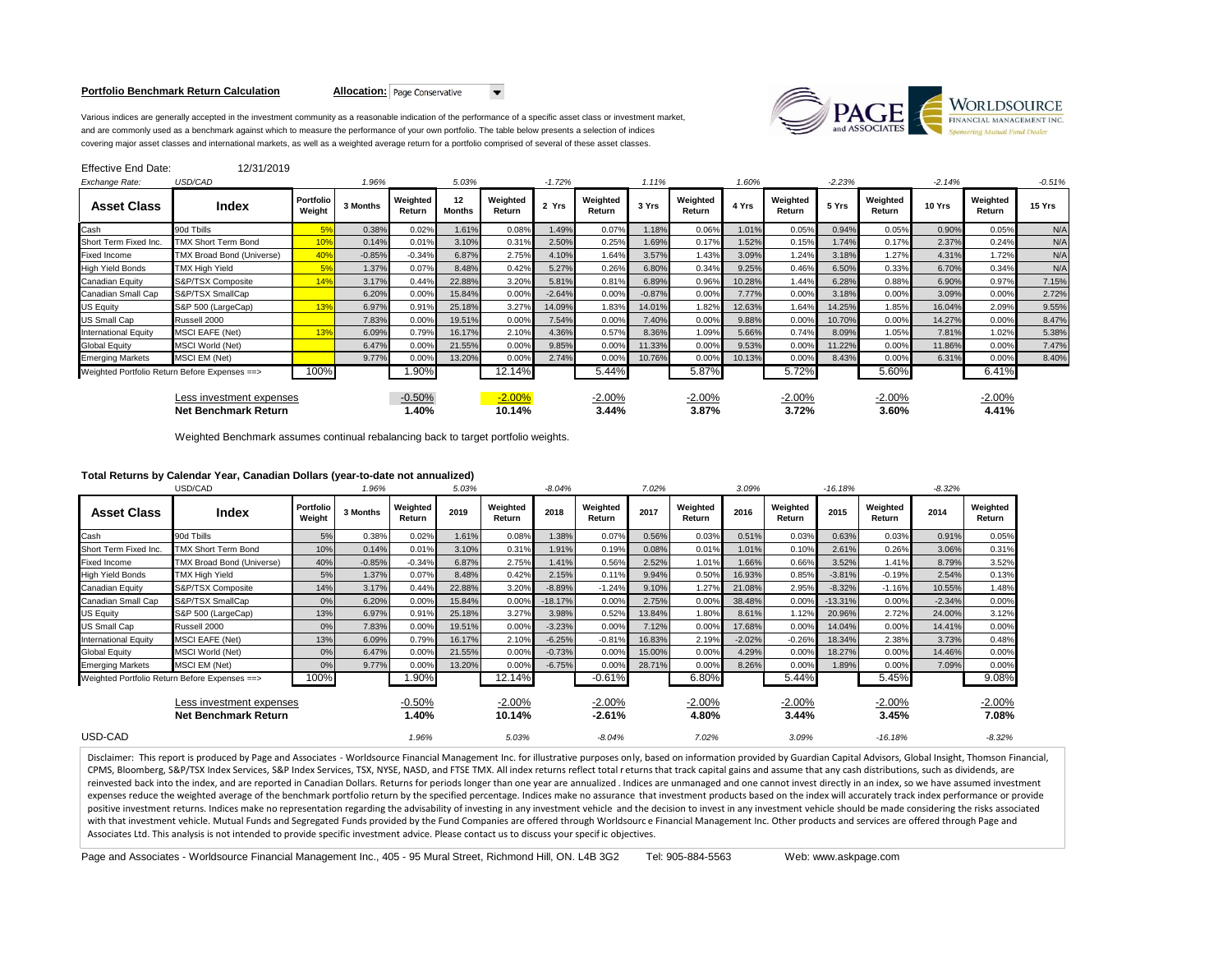#### **Portfolio Benchmark Return Calculation Allocation:** Page Conservative

 $\blacktriangledown$ 



Various indices are generally accepted in the investment community as a reasonable indication of the performance of a specific asset class or investment market, and are commonly used as a benchmark against which to measure the performance of your own portfolio. The table below presents a selection of indices covering major asset classes and international markets, as well as a weighted average return for a portfolio comprised of several of these asset classes.

| <b>Effective End Date:</b>                              | 12/31/2019                                    |                     |          |                    |                          |                    |          |                    |          |                    |        |                    |          |                    |          |                    |          |
|---------------------------------------------------------|-----------------------------------------------|---------------------|----------|--------------------|--------------------------|--------------------|----------|--------------------|----------|--------------------|--------|--------------------|----------|--------------------|----------|--------------------|----------|
| Exchange Rate:                                          | USD/CAD                                       |                     | 1.96%    |                    | 5.03%                    |                    | $-1.72%$ |                    | 1.11%    |                    | 1.60%  |                    | $-2.23%$ |                    | $-2.14%$ |                    | $-0.51%$ |
| <b>Asset Class</b>                                      | Index                                         | Portfolio<br>Weight | 3 Months | Weighted<br>Return | $12 \,$<br><b>Months</b> | Weighted<br>Return | 2 Yrs    | Weighted<br>Return | 3 Yrs    | Weighted<br>Return | 4 Yrs  | Weighted<br>Return | 5 Yrs    | Weighted<br>Return | 10 Yrs   | Weighted<br>Return | 15 Yrs   |
| Cash                                                    | 90d Tbills                                    | 5%                  | 0.38%    | 0.02%              | 1.61%                    | 0.08%              | 1.49%    | 0.07%              | 1.18%    | 0.06%              | 1.01%  | 0.05%              | 0.94%    | 0.05%              | 0.90%    | 0.05%              | N/A      |
| Short Term Fixed Inc.                                   | <b>TMX Short Term Bond</b>                    | 10%                 | 0.14%    | 0.01%              | 3.10%                    | 0.31%              | 2.50%    | 0.25%              | 1.69%    | 0.17%              | 1.52%  | 0.15%              | 1.74%    | 0.17%              | 2.37%    | 0.24%              | N/A      |
| <b>Fixed Income</b>                                     | TMX Broad Bond (Universe)                     | 40%                 | $-0.85%$ | $-0.34%$           | 6.87%                    | 2.75%              | 4.10%    | 1.64%              | 3.57%    | 1.43%              | 3.09%  | 1.24%              | 3.18%    | 1.27%              | 4.31%    | 1.72%              | N/A      |
| <b>High Yield Bonds</b>                                 | <b>TMX High Yield</b>                         | 5%                  | 1.37%    | 0.07%              | 8.48%                    | 0.42%              | 5.27%    | 0.26%              | 6.80%    | 0.34%              | 9.25%  | 0.46%              | 6.50%    | 0.33%              | 6.70%    | 0.34%              | N/A      |
| Canadian Equity                                         | S&P/TSX Composite                             | 14%                 | 3.17%    | 0.44%              | 22.88%                   | 3.20%              | 5.81%    | 0.81%              | 6.89%    | 0.96%              | 10.28% | 1.44%              | 6.28%    | 0.88%              | 6.90%    | 0.97%              | 7.15%    |
| Canadian Small Cap                                      | S&P/TSX SmallCap                              |                     | 6.20%    | 0.00%              | 15.84%                   | 0.00%              | $-2.64%$ | 0.00%              | $-0.87%$ | 0.00%              | 7.77%  | 0.00%              | 3.18%    | 0.00%              | 3.09%    | 0.00%              | 2.72%    |
| US Equity                                               | S&P 500 (LargeCap)                            | 13%                 | 6.97%    | 0.91%              | 25.18%                   | 3.27%              | 14.09%   | 1.83%              | 14.01%   | 1.82%              | 12.63% | 1.64%              | 14.25%   | 1.85%              | 16.04%   | 2.09%              | 9.55%    |
| <b>US Small Cap</b>                                     | Russell 2000                                  |                     | 7.83%    | 0.00%              | 19.51%                   | 0.00%              | 7.54%    | 0.00%              | 7.40%    | 0.00%              | 9.88%  | 0.00%              | 10.70%   | 0.00%              | 14.27%   | 0.00%              | 8.47%    |
| <b>International Equity</b>                             | <b>MSCI EAFE (Net)</b>                        | 13%                 | 6.09%    | 0.79%              | 16.17%                   | 2.10%              | 4.36%    | 0.57%              | 8.36%    | 1.09%              | 5.66%  | 0.74%              | 8.09%    | 1.05%              | 7.81%    | 1.02%              | 5.38%    |
| <b>Global Equity</b>                                    | <b>MSCI World (Net)</b>                       |                     | 6.47%    | 0.00%              | 21.55%                   | 0.00%              | 9.85%    | 0.00%              | 11.33%   | 0.00%              | 9.53%  | 0.00%              | 11.22%   | 0.00%              | 11.86%   | 0.00%              | 7.47%    |
| <b>Emerging Markets</b>                                 | MSCI EM (Net)                                 |                     | 9.77%    | 0.00%              | 13.20%                   | 0.00%              | 2.74%    | 0.00%              | 10.76%   | 0.00%              | 10.13% | 0.00%              | 8.43%    | 0.00%              | 6.31%    | 0.00%              | 8.40%    |
|                                                         | Weighted Portfolio Return Before Expenses ==> | 100%                |          | 1.90%              |                          | 12.14%             |          | 5.44%              |          | 5.87%              |        | 5.72%              |          | 5.60%              |          | 6.41%              |          |
| Less investment expenses<br><b>Net Benchmark Return</b> |                                               |                     |          | $-0.50%$<br>1.40%  |                          | $-2.00%$<br>10.14% |          | $-2.00%$<br>3.44%  |          | $-2.00%$<br>3.87%  |        | $-2.00%$<br>3.72%  |          | $-2.00%$<br>3.60%  |          | $-2.00%$<br>4.41%  |          |

Weighted Benchmark assumes continual rebalancing back to target portfolio weights.

# **Total Returns by Calendar Year, Canadian Dollars (year-to-date not annualized)**

| USD/CAD                                                 |                                                       |                     | 1.96%    |                    | 5.03%  | $-8.04%$           |           |                      | 7.02%  |                    |          |                    | $-16.18%$ |                    | $-8.32%$ |                    |
|---------------------------------------------------------|-------------------------------------------------------|---------------------|----------|--------------------|--------|--------------------|-----------|----------------------|--------|--------------------|----------|--------------------|-----------|--------------------|----------|--------------------|
| <b>Asset Class</b>                                      | Index                                                 | Portfolio<br>Weight | 3 Months | Weighted<br>Return | 2019   | Weighted<br>Return | 2018      | Weighted<br>Return   | 2017   | Weighted<br>Return | 2016     | Weighted<br>Return | 2015      | Weighted<br>Return | 2014     | Weighted<br>Return |
| Cash                                                    | 90d Tbills                                            | 5%                  | 0.38%    | 0.02%              | 1.61%  | 0.08%              | 1.38%     | 0.07%                | 0.56%  | 0.03%              | 0.51%    | 0.03%              | 0.63%     | 0.03%              | 0.91%    | 0.05%              |
| Short Term Fixed Inc.                                   | <b>TMX Short Term Bond</b>                            | 10%                 | 0.14%    | 0.01%              | 3.10%  | 0.31%              | 1.91%     | 0.19%                | 0.08%  | 0.01%              | 1.01%    | 0.10%              | 2.61%     | 0.26%              | 3.06%    | 0.31%              |
| <b>Fixed Income</b>                                     | <b>TMX Broad Bond (Universe)</b>                      | 40%                 | $-0.85%$ | $-0.34%$           | 6.87%  | 2.75%              | 1.41%     | 0.56%                | 2.52%  | 1.01%              | 1.66%    | 0.66%              | 3.52%     | 1.41%              | 8.79%    | 3.52%              |
| <b>High Yield Bonds</b>                                 | TMX High Yield                                        | 5%                  | 1.37%    | 0.07%              | 8.48%  | 0.42%              | 2.15%     | 0.11%                | 9.94%  | 0.50%              | 16.93%   | 0.85%              | $-3.81%$  | $-0.19%$           | 2.54%    | 0.13%              |
| Canadian Equity                                         | S&P/TSX Composite                                     | 14%                 | 3.17%    | 0.44%              | 22.88% | 3.20%              | $-8.89%$  | $-1.24%$             | 9.10%  | 1.27%              | 21.08%   | 2.95%              | $-8.32%$  | $-1.16%$           | 10.55%   | 1.48%              |
| Canadian Small Cap                                      | S&P/TSX SmallCap                                      | 0%                  | 6.20%    | 0.00%              | 15.84% | 0.00%              | $-18.17%$ | 0.00%                | 2.75%  | 0.00%              | 38.48%   | 0.00%              | $-13.31%$ | 0.00%              | $-2.34%$ | 0.00%              |
| <b>US Equity</b>                                        | S&P 500 (LargeCap)                                    | 13%                 | 6.97%    | 0.91%              | 25.18% | 3.27%              | 3.98%     | 0.52%                | 13.84% | 1.80%              | 8.61%    | 1.12%              | 20.96%    | 2.72%              | 24.00%   | 3.12%              |
| US Small Cap                                            | Russell 2000                                          | 0%                  | 7.83%    | $0.00\%$           | 19.51% | 0.00%              | $-3.23%$  | 0.00%                | 7.12%  | 0.00%              | 17.68%   | 0.00%              | 14.04%    | 0.00%              | 14.41%   | 0.00%              |
| <b>International Equity</b>                             | <b>MSCI EAFE (Net)</b>                                | 13%                 | 6.09%    | 0.79%              | 16.17% | 2.10%              | $-6.25%$  | $-0.81%$             | 16.83% | 2.19%              | $-2.02%$ | $-0.26%$           | 18.34%    | 2.38%              | 3.73%    | 0.48%              |
| <b>Global Equity</b>                                    | <b>MSCI World (Net)</b>                               | 0%                  | 6.47%    | 0.00%              | 21.55% | 0.00%              | $-0.73%$  | 0.00%                | 15.00% | 0.00%              | 4.29%    | 0.00%              | 18.27%    | 0.00%              | 14.46%   | 0.00%              |
| <b>Emerging Markets</b>                                 | MSCI EM (Net)                                         | 0%                  | 9.77%    | $0.00\%$           | 13.20% | 0.00%              | $-6.75%$  | 0.00%                | 28.71% | 0.00%              | 8.26%    | 0.00%              | 1.89%     | 0.00%              | 7.09%    | 0.00%              |
|                                                         | 100%<br>Weighted Portfolio Return Before Expenses ==> |                     |          | 1.90%              |        | 12.14%             |           | $-0.61%$             |        | 6.80%              |          | 5.44%              |           | 5.45%              |          | 9.08%              |
| Less investment expenses<br><b>Net Benchmark Return</b> |                                                       |                     |          | $-0.50%$<br>1.40%  |        | $-2.00%$<br>10.14% |           | $-2.00%$<br>$-2.61%$ |        | $-2.00%$<br>4.80%  |          | $-2.00%$<br>3.44%  |           | $-2.00%$<br>3.45%  |          | $-2.00%$<br>7.08%  |
| USD-CAD                                                 |                                                       |                     |          | 1.96%              |        | 5.03%              |           | $-8.04%$             |        | 7.02%              |          | 3.09%              |           | $-16.18%$          |          | $-8.32%$           |

Disclaimer: This report is produced by Page and Associates - Worldsource Financial Management Inc. for illustrative purposes only, based on information provided by Guardian Capital Advisors, Global Insight, Thomson Financi CPMS, Bloomberg, S&P/TSX Index Services, S&P Index Services, TSX, NYSE, NASD, and FTSE TMX. All index returns reflect total r eturns that track capital gains and assume that any cash distributions, such as dividends, are reinvested back into the index, and are reported in Canadian Dollars. Returns for periods longer than one year are annualized . Indices are unmanaged and one cannot invest directly in an index, so we have assumed investmen expenses reduce the weighted average of the benchmark portfolio return by the specified percentage. Indices make no assurance that investment products based on the index will accurately track index performance or provide positive investment returns. Indices make no representation regarding the advisability of investing in any investment vehicle and the decision to invest in any investment vehicle should be made considering the risks associ with that investment vehicle. Mutual Funds and Segregated Funds provided by the Fund Companies are offered through Worldsourc e Financial Management Inc. Other products and services are offered through Page and Associates Ltd. This analysis is not intended to provide specific investment advice. Please contact us to discuss your specific objectives.

Page and Associates - Worldsource Financial Management Inc., 405 - 95 Mural Street, Richmond Hill, ON. L4B 3G2 Tel: 905-884-5563 Web: www.askpage.com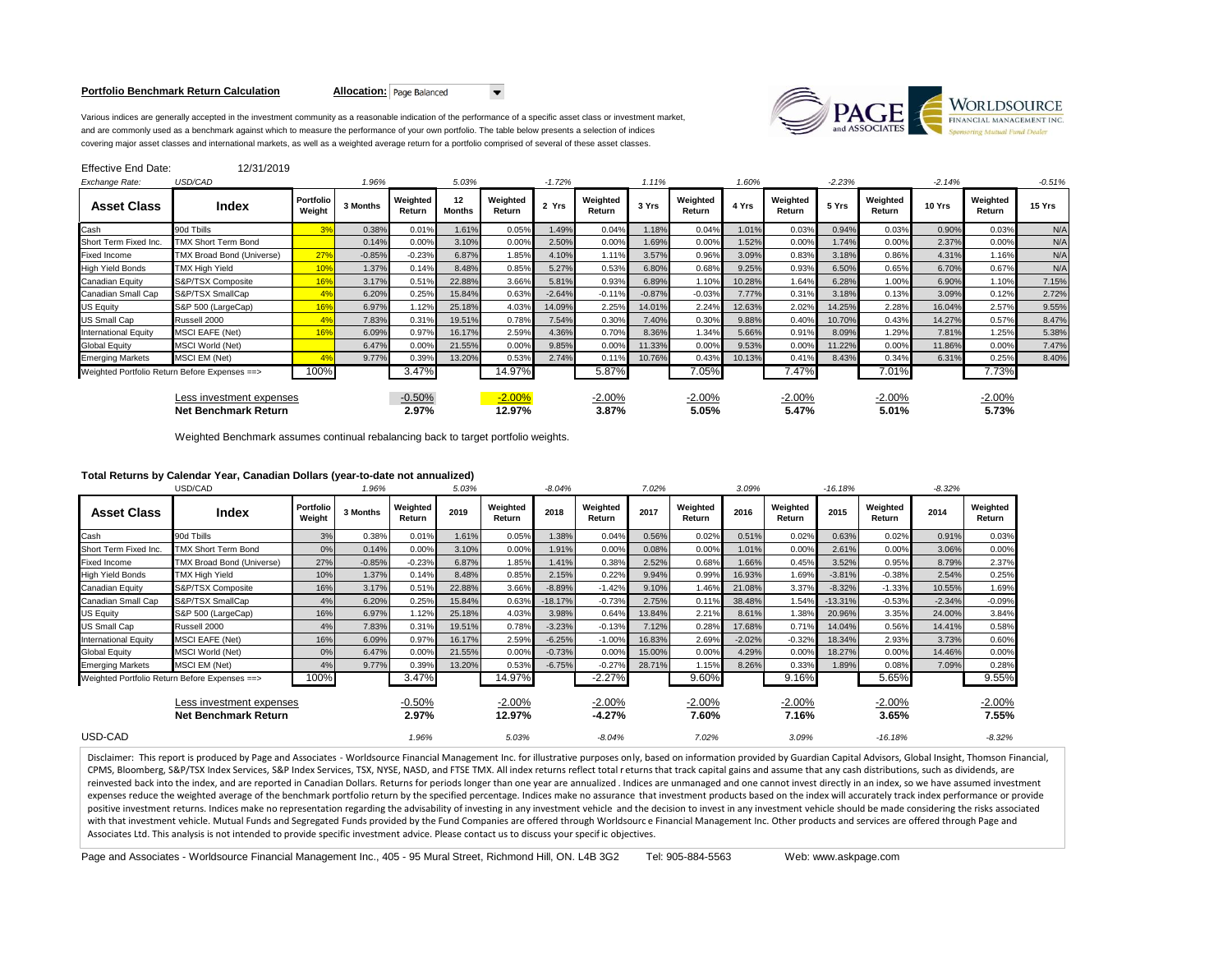#### **Portfolio Benchmark Return Calculation <b>Allocation:** Page Balanced

 $\blacktriangledown$ 



Various indices are generally accepted in the investment community as a reasonable indication of the performance of a specific asset class or investment market, and are commonly used as a benchmark against which to measure the performance of your own portfolio. The table below presents a selection of indices covering major asset classes and international markets, as well as a weighted average return for a portfolio comprised of several of these asset classes.

| Effective End Date:                                     | 12/31/2019                 |                     |          |                    |                          |                    |          |                    |          |                    |        |                    |          |                    |          |                    |          |
|---------------------------------------------------------|----------------------------|---------------------|----------|--------------------|--------------------------|--------------------|----------|--------------------|----------|--------------------|--------|--------------------|----------|--------------------|----------|--------------------|----------|
| Exchange Rate:                                          | USD/CAD                    |                     | 1.96%    |                    | 5.03%                    |                    | $-1.72%$ |                    | 1.11%    |                    | 1.60%  |                    | $-2.23%$ |                    | $-2.14%$ |                    | $-0.51%$ |
| <b>Asset Class</b>                                      | Index                      | Portfolio<br>Weight | 3 Months | Weighted<br>Return | $12 \,$<br><b>Months</b> | Weighted<br>Return | 2 Yrs    | Weighted<br>Return | 3 Yrs    | Weighted<br>Return | 4 Yrs  | Weighted<br>Return | 5 Yrs    | Weighted<br>Return | 10 Yrs   | Weighted<br>Return | 15 Yrs   |
| Cash                                                    | 90d Tbills                 | 3%                  | 0.38%    | 0.01%              | 1.61%                    | 0.05%              | 1.49%    | 0.04%              | 1.18%    | 0.04%              | 1.01%  | 0.03%              | 0.94%    | 0.03%              | 0.90%    | 0.03%              | N/A      |
| Short Term Fixed Inc.                                   | <b>TMX Short Term Bond</b> |                     | 0.14%    | 0.00%              | 3.10%                    | 0.00%              | 2.50%    | 0.00%              | 1.69%    | 0.00%              | 1.52%  | 0.00%              | 1.74%    | 0.00%              | 2.37%    | 0.00%              | N/A      |
| <b>Fixed Income</b>                                     | TMX Broad Bond (Universe)  | 27%                 | $-0.85%$ | $-0.23%$           | 6.87%                    | 1.85%              | 4.10%    | 1.11%              | 3.57%    | 0.96%              | 3.09%  | 0.83%              | 3.18%    | 0.86%              | 4.31%    | 1.16%              | N/A      |
| <b>High Yield Bonds</b>                                 | <b>TMX High Yield</b>      | 10%                 | 1.37%    | 0.14%              | 8.48%                    | 0.85%              | 5.27%    | 0.53%              | 6.80%    | 0.68%              | 9.25%  | 0.93%              | 6.50%    | 0.65%              | 6.70%    | 0.67%              | N/A      |
| Canadian Equity                                         | S&P/TSX Composite          | 16%                 | 3.17%    | 0.51%              | 22.88%                   | 3.66%              | 5.81%    | 0.93%              | 6.89%    | 1.10%              | 10.28% | 1.64%              | 6.28%    | 1.00%              | 6.90%    | 1.10%              | 7.15%    |
| Canadian Small Cap                                      | S&P/TSX SmallCap           |                     | 6.20%    | 0.25%              | 15.84%                   | 0.63%              | $-2.64%$ | $-0.11%$           | $-0.87%$ | $-0.03%$           | 7.77%  | 0.31%              | 3.18%    | 0.13%              | 3.09%    | 0.12%              | 2.72%    |
| US Equity                                               | S&P 500 (LargeCap)         | 16%                 | 6.97%    | 1.12%              | 25.18%                   | 4.03%              | 14.09%   | 2.25%              | 14.01%   | 2.24%              | 12.63% | 2.02%              | 14.25%   | 2.28%              | 16.04%   | 2.57%              | 9.55%    |
| US Small Cap                                            | Russell 2000               |                     | 7.83%    | 0.31%              | 19.51%                   | 0.78%              | 7.54%    | 0.30%              | 7.40%    | 0.30%              | 9.88%  | 0.40%              | 10.70%   | 0.43%              | 14.27%   | 0.57%              | 8.47%    |
| <b>International Equity</b>                             | <b>MSCI EAFE (Net)</b>     | 16%                 | 6.09%    | 0.97%              | 16.17%                   | 2.59%              | 4.36%    | 0.70%              | 8.36%    | 1.34%              | 5.66%  | 0.91%              | 8.09%    | 1.29%              | 7.81%    | 1.25%              | 5.38%    |
| <b>Global Equity</b>                                    | <b>MSCI World (Net)</b>    |                     | 6.47%    | 0.00%              | 21.55%                   | 0.00%              | 9.85%    | 0.00%              | 11.33%   | 0.00%              | 9.53%  | 0.00%              | 11.22%   | 0.00%              | 11.86%   | 0.00%              | 7.47%    |
| <b>Emerging Markets</b>                                 | MSCI EM (Net)              |                     | 9.77%    | 0.39%              | 13.20%                   | 0.53%              | 2.74%    | 0.11%              | 10.76%   | 0.43%              | 10.13% | 0.41%              | 8.43%    | 0.34%              | 6.31%    | 0.25%              | 8.40%    |
| Weighted Portfolio Return Before Expenses ==>           |                            | 100%                |          | 3.47%              |                          | 14.97%             |          | 5.87%              |          | 7.05%              |        | 7.47%              |          | 7.01%              |          | 7.73%              |          |
| Less investment expenses<br><b>Net Benchmark Return</b> |                            |                     |          | $-0.50%$<br>2.97%  |                          | $-2.00%$<br>12.97% |          | $-2.00%$<br>3.87%  |          | $-2.00%$<br>5.05%  |        | $-2.00%$<br>5.47%  |          | $-2.00%$<br>5.01%  |          | $-2.00%$<br>5.73%  |          |

Weighted Benchmark assumes continual rebalancing back to target portfolio weights.

# **Total Returns by Calendar Year, Canadian Dollars (year-to-date not annualized)**

|                                                         | USD/CAD                                               |                     | 1.96%    |                    | 5.03%  | $-8.04%$           |           |                      | 7.02%  |                    |          |                    | $-16.18%$ |                    | $-8.32%$ |                    |
|---------------------------------------------------------|-------------------------------------------------------|---------------------|----------|--------------------|--------|--------------------|-----------|----------------------|--------|--------------------|----------|--------------------|-----------|--------------------|----------|--------------------|
| <b>Asset Class</b>                                      | Index                                                 | Portfolio<br>Weight | 3 Months | Weighted<br>Return | 2019   | Weighted<br>Return | 2018      | Weighted<br>Return   | 2017   | Weighted<br>Return | 2016     | Weighted<br>Return | 2015      | Weighted<br>Return | 2014     | Weighted<br>Return |
| Cash                                                    | 90d Tbills                                            | 3%                  | 0.38%    | 0.01%              | 1.61%  | 0.05%              | 1.38%     | 0.04%                | 0.56%  | 0.02%              | 0.51%    | 0.02%              | 0.63%     | 0.02%              | 0.91%    | 0.03%              |
| Short Term Fixed Inc.                                   | <b>TMX Short Term Bond</b>                            | 0%                  | 0.14%    | 0.00%              | 3.10%  | 0.00%              | 1.91%     | 0.00%                | 0.08%  | 0.00%              | 1.01%    | 0.00%              | 2.61%     | 0.00%              | 3.06%    | 0.00%              |
| <b>Fixed Income</b>                                     | TMX Broad Bond (Universe)                             | 27%                 | $-0.85%$ | $-0.23%$           | 6.87%  | 1.85%              | 1.41%     | 0.38%                | 2.52%  | 0.68%              | 1.66%    | 0.45%              | 3.52%     | 0.95%              | 8.79%    | 2.37%              |
| <b>High Yield Bonds</b>                                 | <b>TMX High Yield</b>                                 | 10%                 | 1.37%    | 0.14%              | 8.48%  | 0.85%              | 2.15%     | 0.22%                | 9.94%  | 0.99%              | 16.93%   | 1.69%              | $-3.81%$  | $-0.38%$           | 2.54%    | 0.25%              |
| Canadian Equity                                         | S&P/TSX Composite                                     | 16%                 | 3.17%    | 0.51%              | 22.88% | 3.66%              | $-8.89%$  | $-1.42%$             | 9.10%  | 1.46%              | 21.08%   | 3.37%              | $-8.32%$  | $-1.33%$           | 10.55%   | 1.69%              |
| Canadian Small Cap                                      | S&P/TSX SmallCap                                      | 4%                  | 6.20%    | 0.25%              | 15.84% | 0.63%              | $-18.17%$ | $-0.73%$             | 2.75%  | 0.11%              | 38.48%   | 1.54%              | $-13.31%$ | $-0.53%$           | $-2.34%$ | $-0.09%$           |
| US Equity                                               | S&P 500 (LargeCap)                                    | 16%                 | 6.97%    | 1.12%              | 25.18% | 4.03%              | 3.98%     | 0.64%                | 13.84% | 2.21%              | 8.61%    | 1.38%              | 20.96%    | 3.35%              | 24.00%   | 3.84%              |
| US Small Cap                                            | Russell 2000                                          | 4%                  | 7.83%    | 0.31%              | 19.51% | 0.78%              | $-3.23%$  | $-0.13%$             | 7.12%  | 0.28%              | 17.68%   | 0.71%              | 14.04%    | 0.56%              | 14.41%   | 0.58%              |
| <b>International Equity</b>                             | <b>MSCI EAFE (Net)</b>                                | 16%                 | 6.09%    | 0.97%              | 16.17% | 2.59%              | $-6.25%$  | $-1.00%$             | 16.83% | 2.69%              | $-2.02%$ | $-0.32%$           | 18.34%    | 2.93%              | 3.73%    | 0.60%              |
| <b>Global Equity</b>                                    | MSCI World (Net)                                      | 0%                  | 6.47%    | 0.00%              | 21.55% | 0.00%              | $-0.73%$  | 0.00%                | 15.00% | 0.00%              | 4.29%    | 0.00%              | 18.27%    | 0.00%              | 14.46%   | 0.00%              |
| <b>Emerging Markets</b>                                 | MSCI EM (Net)                                         | 4%                  | 9.77%    | 0.39%              | 13.20% | 0.53%              | $-6.75%$  | $-0.27%$             | 28.71% | 1.15%              | 8.26%    | 0.33%              | 1.89%     | 0.08%              | 7.09%    | 0.28%              |
|                                                         | 100%<br>Weighted Portfolio Return Before Expenses ==> |                     |          | 3.47%              |        | 14.97%             |           | $-2.27%$             |        | 9.60%              |          | 9.16%              |           | 5.65%              |          | 9.55%              |
| Less investment expenses<br><b>Net Benchmark Return</b> |                                                       |                     |          | $-0.50%$<br>2.97%  |        | $-2.00%$<br>12.97% |           | $-2.00%$<br>$-4.27%$ |        | $-2.00%$<br>7.60%  |          | $-2.00%$<br>7.16%  |           | $-2.00%$<br>3.65%  |          | $-2.00%$<br>7.55%  |
| USD-CAD                                                 |                                                       |                     |          | 1.96%              |        | 5.03%              |           | $-8.04%$             |        | 7.02%              |          | 3.09%              |           | $-16.18%$          |          | $-8.32%$           |

Disclaimer: This report is produced by Page and Associates - Worldsource Financial Management Inc. for illustrative purposes only, based on information provided by Guardian Capital Advisors, Global Insight, Thomson Financi CPMS, Bloomberg, S&P/TSX Index Services, S&P Index Services, TSX, NYSE, NASD, and FTSE TMX. All index returns reflect total r eturns that track capital gains and assume that any cash distributions, such as dividends, are reinvested back into the index, and are reported in Canadian Dollars. Returns for periods longer than one year are annualized . Indices are unmanaged and one cannot invest directly in an index, so we have assumed investmen expenses reduce the weighted average of the benchmark portfolio return by the specified percentage. Indices make no assurance that investment products based on the index will accurately track index performance or provide positive investment returns. Indices make no representation regarding the advisability of investing in any investment vehicle and the decision to invest in any investment vehicle should be made considering the risks associ with that investment vehicle. Mutual Funds and Segregated Funds provided by the Fund Companies are offered through Worldsourc e Financial Management Inc. Other products and services are offered through Page and Associates Ltd. This analysis is not intended to provide specific investment advice. Please contact us to discuss your specific objectives.

Page and Associates - Worldsource Financial Management Inc., 405 - 95 Mural Street, Richmond Hill, ON. L4B 3G2 Tel: 905-884-5563 Web: www.askpage.com